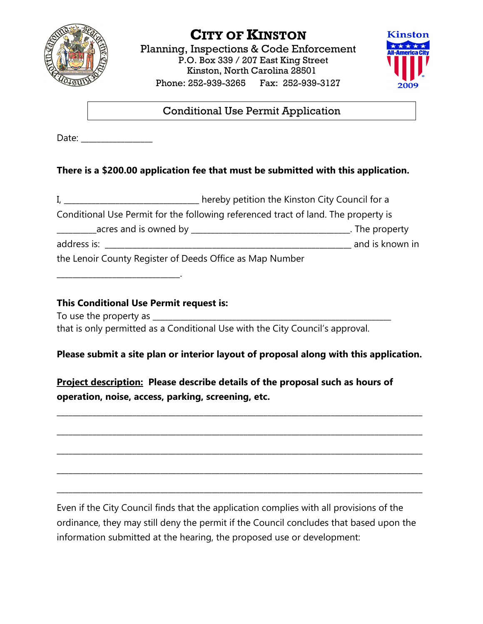

# **CITY OF KINSTON**

Planning, Inspections & Code Enforcement P.O. Box 339 / 207 East King Street Kinston, North Carolina 28501 Phone: 252-939-3265 Fax: 252-939-3127



Conditional Use Permit Application

Date: \_\_\_\_\_\_\_\_\_\_\_\_\_\_\_\_\_\_

## **There is a \$200.00 application fee that must be submitted with this application.**

I, \_\_\_\_\_\_\_\_\_\_\_\_\_\_\_\_\_\_\_\_\_\_\_\_\_\_\_\_\_\_\_\_\_ hereby petition the Kinston City Council for a Conditional Use Permit for the following referenced tract of land. The property is \_\_\_\_\_\_\_\_\_\_acres and is owned by \_\_\_\_\_\_\_\_\_\_\_\_\_\_\_\_\_\_\_\_\_\_\_\_\_\_\_\_\_\_\_\_\_\_\_\_\_\_\_\_. The property address is: \_\_\_\_\_\_\_\_\_\_\_\_\_\_\_\_\_\_\_\_\_\_\_\_\_\_\_\_\_\_\_\_\_\_\_\_\_\_\_\_\_\_\_\_\_\_\_\_\_\_\_\_\_\_\_\_\_\_\_\_\_\_ and is known in the Lenoir County Register of Deeds Office as Map Number

\_\_\_\_\_\_\_\_\_\_\_\_\_\_\_\_\_\_\_\_\_\_\_\_\_\_\_\_\_\_\_.

#### **This Conditional Use Permit request is:**

To use the property as \_\_\_\_\_\_\_\_\_\_\_\_\_\_\_\_\_\_\_\_\_\_\_\_\_\_\_\_\_\_\_\_\_\_\_\_\_\_\_\_\_\_\_\_\_\_\_\_\_\_\_\_\_\_\_\_\_\_\_\_

that is only permitted as a Conditional Use with the City Council's approval.

### **Please submit a site plan or interior layout of proposal along with this application.**

\_\_\_\_\_\_\_\_\_\_\_\_\_\_\_\_\_\_\_\_\_\_\_\_\_\_\_\_\_\_\_\_\_\_\_\_\_\_\_\_\_\_\_\_\_\_\_\_\_\_\_\_\_\_\_\_\_\_\_\_\_\_\_\_\_\_\_\_\_\_\_\_\_\_\_\_\_\_\_\_\_\_\_\_\_\_\_\_\_\_\_\_

\_\_\_\_\_\_\_\_\_\_\_\_\_\_\_\_\_\_\_\_\_\_\_\_\_\_\_\_\_\_\_\_\_\_\_\_\_\_\_\_\_\_\_\_\_\_\_\_\_\_\_\_\_\_\_\_\_\_\_\_\_\_\_\_\_\_\_\_\_\_\_\_\_\_\_\_\_\_\_\_\_\_\_\_\_\_\_\_\_\_\_\_

\_\_\_\_\_\_\_\_\_\_\_\_\_\_\_\_\_\_\_\_\_\_\_\_\_\_\_\_\_\_\_\_\_\_\_\_\_\_\_\_\_\_\_\_\_\_\_\_\_\_\_\_\_\_\_\_\_\_\_\_\_\_\_\_\_\_\_\_\_\_\_\_\_\_\_\_\_\_\_\_\_\_\_\_\_\_\_\_\_\_\_\_

\_\_\_\_\_\_\_\_\_\_\_\_\_\_\_\_\_\_\_\_\_\_\_\_\_\_\_\_\_\_\_\_\_\_\_\_\_\_\_\_\_\_\_\_\_\_\_\_\_\_\_\_\_\_\_\_\_\_\_\_\_\_\_\_\_\_\_\_\_\_\_\_\_\_\_\_\_\_\_\_\_\_\_\_\_\_\_\_\_\_\_\_

\_\_\_\_\_\_\_\_\_\_\_\_\_\_\_\_\_\_\_\_\_\_\_\_\_\_\_\_\_\_\_\_\_\_\_\_\_\_\_\_\_\_\_\_\_\_\_\_\_\_\_\_\_\_\_\_\_\_\_\_\_\_\_\_\_\_\_\_\_\_\_\_\_\_\_\_\_\_\_\_\_\_\_\_\_\_\_\_\_\_\_\_

**Project description: Please describe details of the proposal such as hours of operation, noise, access, parking, screening, etc.**

Even if the City Council finds that the application complies with all provisions of the ordinance, they may still deny the permit if the Council concludes that based upon the information submitted at the hearing, the proposed use or development: